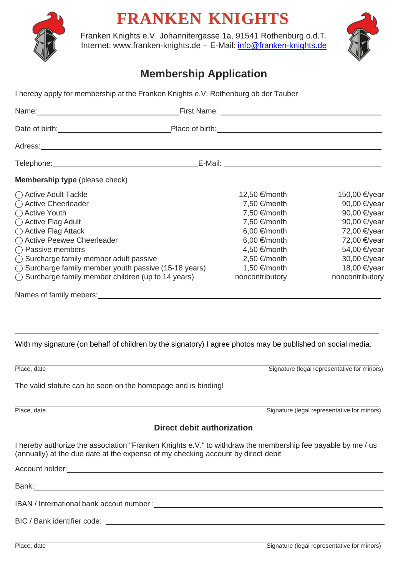

## **FRANKEN KNIGHTS**

Franken Knights e.V. Johannitergasse 1a, 91541 Rothenburg o.d.T. Internet: [www.franken-knights.de](http://www.franken-knights.de/) - E-Mail: [info@franken-knights.de](mailto:info@franken-knights.de)



## **Membership Application**

I hereby apply for membership at the Franken Knights e.V. Rothenburg ob der Tauber

| Name: Name: Name: Name: Name: Name: Name: Name: Name: Name: Name: Name: Name: Name: Name: Name: Name: Name: Name: Name: Name: Name: Name: Name: Name: Name: Name: Name: Name: Name: Name: Name: Name: Name: Name: Name: Name:                                                                                                                                                                                                                                                                                                                                                                                                                                                                                     |                                                                                                                                                                                                     |                                                                                                                                                                  |
|-------------------------------------------------------------------------------------------------------------------------------------------------------------------------------------------------------------------------------------------------------------------------------------------------------------------------------------------------------------------------------------------------------------------------------------------------------------------------------------------------------------------------------------------------------------------------------------------------------------------------------------------------------------------------------------------------------------------|-----------------------------------------------------------------------------------------------------------------------------------------------------------------------------------------------------|------------------------------------------------------------------------------------------------------------------------------------------------------------------|
| Date of birth: <u>contract and contract and contract property place of birth:</u> contract and contract place of birth:                                                                                                                                                                                                                                                                                                                                                                                                                                                                                                                                                                                           |                                                                                                                                                                                                     |                                                                                                                                                                  |
| Adress: <u>Adress: Adress: Adress: Adress: Adress: Adress: Adress: Adress: Adress: Adress: Adress: Adress: Adress: Adress: Adress: Adress: Adress: Adress: Adress: Adress: Adress: Adress: Adress: Adress: Adress: Adress: Adres</u>                                                                                                                                                                                                                                                                                                                                                                                                                                                                              |                                                                                                                                                                                                     |                                                                                                                                                                  |
|                                                                                                                                                                                                                                                                                                                                                                                                                                                                                                                                                                                                                                                                                                                   |                                                                                                                                                                                                     |                                                                                                                                                                  |
| <b>Membership type</b> (please check)                                                                                                                                                                                                                                                                                                                                                                                                                                                                                                                                                                                                                                                                             |                                                                                                                                                                                                     |                                                                                                                                                                  |
| ◯ Active Adult Tackle<br>◯ Active Cheerleader<br>◯ Active Youth<br>◯ Active Flag Adult<br>◯ Active Flag Attack<br>◯ Active Peewee Cheerleader<br>$\bigcap$ Passive members<br>$\bigcirc$ Surcharge family member adult passive<br>$\bigcirc$ Surcharge family member youth passive (15-18 years)<br>$\bigcirc$ Surcharge family member children (up to 14 years)<br>Names of family mebers: Name of the Contract of the Contract of the Contract of the Contract of the Contract of the Contract of the Contract of the Contract of the Contract of the Contract of the Contract of the Contract o<br>With my signature (on behalf of children by the signatory) I agree photos may be published on social media. | 12,50 €/month<br>7,50 $\epsilon$ /month<br>7,50 $\epsilon$ /month<br>7,50 €/month<br>$6,00 \in$ /month<br>$6,00 \in$ /month<br>4,50 €/month<br>$2,50 \in$ /month<br>1,50 €/month<br>noncontributory | 150,00 €/year<br>90,00 €/year<br>90,00 €/year<br>90,00 €/year<br>72,00 €/year<br>72,00 €/year<br>54,00 €/year<br>30,00 €/year<br>18,00 €/year<br>noncontributory |
| Place, date                                                                                                                                                                                                                                                                                                                                                                                                                                                                                                                                                                                                                                                                                                       |                                                                                                                                                                                                     | Signature (legal representative for minors)                                                                                                                      |
| The valid statute can be seen on the homepage and is binding!                                                                                                                                                                                                                                                                                                                                                                                                                                                                                                                                                                                                                                                     |                                                                                                                                                                                                     |                                                                                                                                                                  |
| Place, date                                                                                                                                                                                                                                                                                                                                                                                                                                                                                                                                                                                                                                                                                                       | Signature (legal representative for minors)                                                                                                                                                         |                                                                                                                                                                  |
| <b>Direct debit authorization</b>                                                                                                                                                                                                                                                                                                                                                                                                                                                                                                                                                                                                                                                                                 |                                                                                                                                                                                                     |                                                                                                                                                                  |
| I hereby authorize the association "Franken Knights e.V." to withdraw the membership fee payable by me / us<br>(annually) at the due date at the expense of my checking account by direct debit                                                                                                                                                                                                                                                                                                                                                                                                                                                                                                                   |                                                                                                                                                                                                     |                                                                                                                                                                  |
|                                                                                                                                                                                                                                                                                                                                                                                                                                                                                                                                                                                                                                                                                                                   |                                                                                                                                                                                                     |                                                                                                                                                                  |
|                                                                                                                                                                                                                                                                                                                                                                                                                                                                                                                                                                                                                                                                                                                   |                                                                                                                                                                                                     |                                                                                                                                                                  |
| IBAN / International bank accout number : New York Contract and Separate and Separate and Separate and Separate and Separate and Separate and Separate and Separate and Separate and Separate and Separate and Separate and Se                                                                                                                                                                                                                                                                                                                                                                                                                                                                                    |                                                                                                                                                                                                     |                                                                                                                                                                  |
| BIC / Bank identifier code:                                                                                                                                                                                                                                                                                                                                                                                                                                                                                                                                                                                                                                                                                       |                                                                                                                                                                                                     |                                                                                                                                                                  |